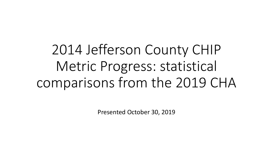2014 Jefferson County CHIP Metric Progress: statistical comparisons from the 2019 CHA

Presented October 30, 2019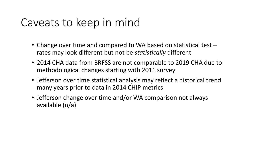## Caveats to keep in mind

- Change over time and compared to WA based on statistical test rates may look different but not be *statistically* different
- 2014 CHA data from BRFSS are not comparable to 2019 CHA due to methodological changes starting with 2011 survey
- Jefferson over time statistical analysis may reflect a historical trend many years prior to data in 2014 CHIP metrics
- Jefferson change over time and/or WA comparison not always available (n/a)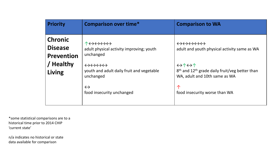| <b>Priority</b>                                       | <b>Comparison over time*</b>                                                                                                                                               | <b>Comparison to WA</b>                                                                                                                                                                              |
|-------------------------------------------------------|----------------------------------------------------------------------------------------------------------------------------------------------------------------------------|------------------------------------------------------------------------------------------------------------------------------------------------------------------------------------------------------|
| <b>Chronic</b><br><b>Disease</b><br><b>Prevention</b> | ↑⇔⇔⇔⇔<br>adult physical activity improving; youth<br>unchanged                                                                                                             | $\leftrightarrow \leftrightarrow \leftrightarrow \leftrightarrow$<br>adult and youth physical activity same as WA                                                                                    |
| / Healthy<br>Living                                   | $\leftrightarrow\leftrightarrow\leftrightarrow\leftrightarrow$<br>youth and adult daily fruit and vegetable<br>unchanged<br>$\leftrightarrow$<br>food insecurity unchanged | $\leftrightarrow \uparrow \leftrightarrow \uparrow$<br>8 <sup>th</sup> and 12 <sup>th</sup> grade daily fruit/veg better than<br>WA, adult and 10th same as WA<br>个<br>food insecurity worse than WA |

\*some statistical comparisons are to a 'current state' historical time prior to 2014 CHIP

n/a indicates no historical or state data available for comparison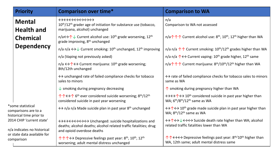|                                                                                                       | <b>Priority</b>                                                                                                                          | <b>Comparison over time*</b>                                                                                                                                                                                             | <b>Comparison to WA</b>                                                                                                                                                      |
|-------------------------------------------------------------------------------------------------------|------------------------------------------------------------------------------------------------------------------------------------------|--------------------------------------------------------------------------------------------------------------------------------------------------------------------------------------------------------------------------|------------------------------------------------------------------------------------------------------------------------------------------------------------------------------|
|                                                                                                       | <b>Mental</b><br><b>Health and</b>                                                                                                       | $\leftrightarrow\leftrightarrow\leftrightarrow\leftrightarrow\leftrightarrow\leftrightarrow$<br>10 <sup>th</sup> /12 <sup>th</sup> grader age of initiation for substance use (tobacco,<br>marijuana, alcohol) unchanged | n/a<br>Comparison to WA not assessed                                                                                                                                         |
|                                                                                                       | <b>Chemical</b>                                                                                                                          | $n/a \leftrightarrow \uparrow \downarrow$ Current alcohol use: 10 <sup>th</sup> grade worsening, 12 <sup>th</sup><br>grade improving, 8 <sup>th</sup> unchanged                                                          | n/a $\uparrow \uparrow \uparrow$ Current alcohol use: 8 <sup>th</sup> , 10 <sup>th</sup> , 12 <sup>th</sup> higher than WA                                                   |
|                                                                                                       | <b>Dependency</b>                                                                                                                        | n/a n/a $\leftrightarrow\downarrow$ Current smoking: 10 <sup>th</sup> unchanged, 12 <sup>th</sup> improving                                                                                                              | n/a n/a $\uparrow \uparrow$ Current smoking: $10^{\text{th}}/12^{\text{th}}$ grades higher than WA                                                                           |
|                                                                                                       |                                                                                                                                          | n/a (Vaping not previously asked)                                                                                                                                                                                        | n/a n/a $\uparrow \leftrightarrow$ Current vaping: 10 <sup>th</sup> grade higher, 12 <sup>th</sup> same                                                                      |
|                                                                                                       |                                                                                                                                          | $n/a \leftrightarrow \uparrow \leftrightarrow$ Current marijuana: 10 <sup>th</sup> grade worsening;<br>8th/12th unchanged                                                                                                | n/a $\uparrow \uparrow \uparrow$ Current marijuana: 8 <sup>th</sup> /10 <sup>th</sup> /12 <sup>th</sup> higher than WA                                                       |
|                                                                                                       |                                                                                                                                          | $\leftrightarrow$ unchanged rate of failed compliance checks for tobacco<br>sales to minors                                                                                                                              | $\leftrightarrow$ rate of failed compliance checks for tobacco sales to minors<br>same as WA                                                                                 |
|                                                                                                       |                                                                                                                                          | $\downarrow$ smoking during pregnancy decreasing                                                                                                                                                                         | $\uparrow$ smoking during pregnancy higher than WA                                                                                                                           |
|                                                                                                       |                                                                                                                                          | $\uparrow \uparrow \leftrightarrow \uparrow$ 6 <sup>th</sup> ever considered suicide worsening; 8 <sup>th</sup> /12 <sup>th</sup><br>considered suicide in past year worsening                                           | $\leftrightarrow \leftrightarrow \uparrow \leftrightarrow 10^{th}$ considered suicide in past year higher than<br>WA; $6th/8th/12th$ same as WA                              |
|                                                                                                       | *some statistical<br>comparisons are to a<br>historical time prior to                                                                    | $\leftrightarrow$ n/a n/a Made suicide plan in past year 8 <sup>th</sup> unchanged                                                                                                                                       | $\leftrightarrow \uparrow \leftrightarrow 10^{th}$ grade made suicide plan in past year higher than<br>WA; 8 <sup>th</sup> /12 <sup>th</sup> same as WA                      |
| 2014 CHIP 'current state'<br>n/a indicates no historical<br>or state data available for<br>comparison |                                                                                                                                          | ↔ < > < > < > < > < > < < > < > < > Unchanged: suicide hospitalizations and<br>deaths; alcohol deaths; alcohol related traffic fatalities; drug<br>and opioid overdose deaths                                            | $\leftrightarrow \uparrow \leftrightarrow \downarrow \leftrightarrow \leftrightarrow$ Suicide death rate higher than WA; alcohol<br>related traffic fatalities lower than WA |
|                                                                                                       | ↑↑↑←→ Depressive feelings past year: 8 <sup>th</sup> , 10 <sup>th</sup> , 12 <sup>th</sup><br>worsening; adult mental distress unchanged | ↑↑←→←→ Depressive feelings past year: $8th/10th$ higher than<br>WA, 12th same; adult mental distress same                                                                                                                |                                                                                                                                                                              |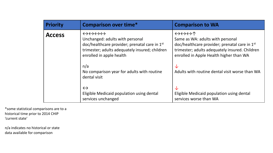| <b>Priority</b> | <b>Comparison over time*</b>                                                                                                                                                                                                               | <b>Comparison to WA</b>                                                                                                                                                                                                                                        |
|-----------------|--------------------------------------------------------------------------------------------------------------------------------------------------------------------------------------------------------------------------------------------|----------------------------------------------------------------------------------------------------------------------------------------------------------------------------------------------------------------------------------------------------------------|
| <b>Access</b>   | $\leftrightarrow \leftrightarrow \leftrightarrow \leftrightarrow$<br>Unchanged: adults with personal<br>doc/healthcare provider; prenatal care in 1st<br>trimester; adults adequately insured; children<br>enrolled in apple health<br>n/a | $\leftrightarrow \leftrightarrow \leftrightarrow \uparrow$<br>Same as WA: adults with personal<br>doc/healthcare provider; prenatal care in 1 <sup>st</sup><br>trimester; adults adequately insured. Children<br>enrolled in Apple Health higher than WA<br>√⊵ |
|                 | No comparison year for adults with routine<br>dental visit<br>$\leftrightarrow$<br>Eligible Medicaid population using dental<br>services unchanged                                                                                         | Adults with routine dental visit worse than WA<br>╰┸<br>Eligible Medicaid population using dental<br>services worse than WA                                                                                                                                    |

\*some statistical comparisons are to a historical time prior to 2014 CHIP 'current state'

n/a indicates no historical or state data available for comparison